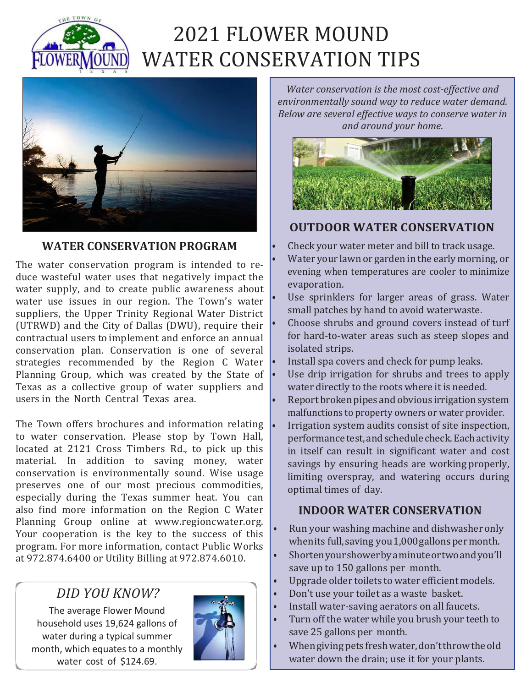

# 2021 FLOWER MOUND WATER CONSERVATION TIPS



#### **WATER CONSERVATION PROGRAM**

The water conservation program is intended to reduce wasteful water uses that negatively impact the water supply, and to create public awareness about water use issues in our region. The Town's water suppliers, the Upper Trinity Regional Water District (UTRWD) and the City of Dallas (DWU), require their contractual users to implement and enforce an annual conservation plan. Conservation is one of several strategies recommended by the Region C Water Planning Group, which was created by the State of Texas as a collective group of water suppliers and users in the North Central Texas area.

The Town offers brochures and information relating  $\cdot$ to water conservation. Please stop by Town Hall, located at 2121 Cross Timbers Rd., to pick up this material. In addition to saving money, water conservation is environmentally sound. Wise usage preserves one of our most precious commodities, especially during the Texas summer heat. You can also find more information on the Region C Water Planning Group online at [www.regioncwater.org.](http://www.regioncwater.org/) Your cooperation is the key to the success of this program. For more information, contact Public Works at 972.874.6400 or Utility Billing at 972.874.6010.

### *DID YOU KNOW?*

The average Flower Mound household uses 19,624 gallons of water during a typical summer month, which equates to a monthly water cost of \$124.69.



*Water conservation is the most cost-effective and environmentally sound way to reduce water demand. Below are several effective ways to conserve water in and around your home*.



#### **OUTDOOR WATER CONSERVATION**

- Check your water meter and bill to track usage. • Water your lawn or garden in the early morning, or evening when temperatures are cooler to minimize evaporation.
- Use sprinklers for larger areas of grass. Water small patches by hand to avoid waterwaste.
- Choose shrubs and ground covers instead of turf for hard-to-water areas such as steep slopes and isolated strips.
- Install spa covers and check for pump leaks.
- Use drip irrigation for shrubs and trees to apply water directly to the roots where it is needed.
- Report broken pipes and obvious irrigation system malfunctions to property owners or water provider.
- Irrigation system audits consist of site inspection, performance test, and schedule check. Each activity in itself can result in significant water and cost savings by ensuring heads are working properly, limiting overspray, and watering occurs during optimal times of day.

#### **INDOOR WATER CONSERVATION**

- Run your washing machine and dishwasher only whenits full, saving you 1,000 gallons per month.
- Shortenyourshowerbyaminuteortwoandyou'll save up to 150 gallons per month.
- Upgrade older toilets to water efficient models.
- Don't use your toilet as a waste basket.
- Install water-saving aerators on all faucets.
- Turn off the water while you brush your teeth to save 25 gallons per month.
- When giving pets fresh water, don't throw the old water down the drain; use it for your plants.